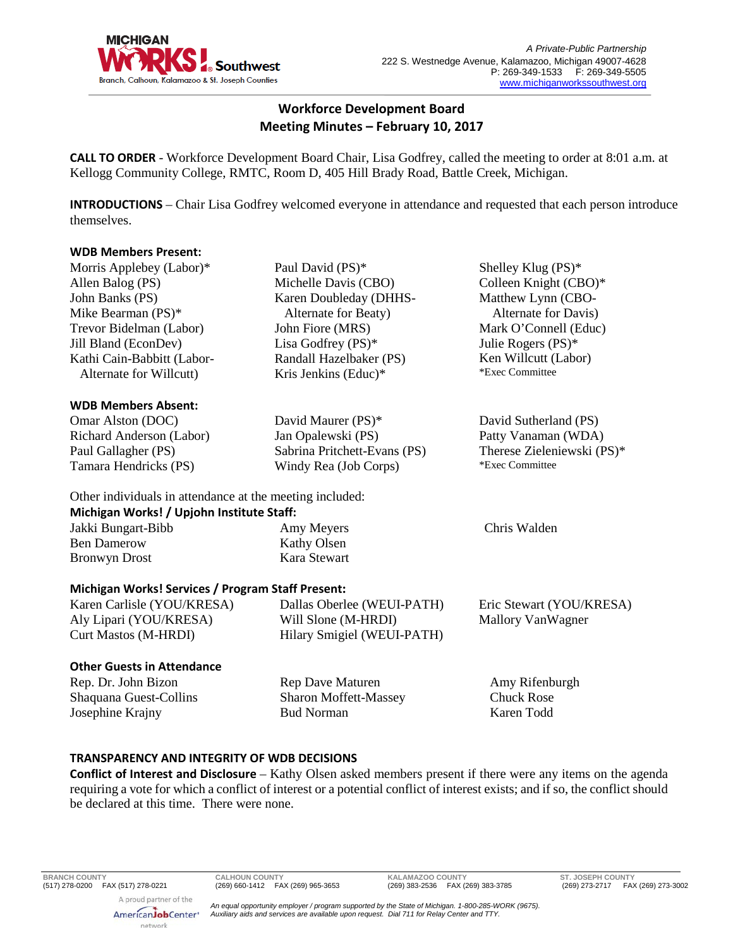

# **Workforce Development Board Meeting Minutes – February 10, 2017**

**CALL TO ORDER** - Workforce Development Board Chair, Lisa Godfrey, called the meeting to order at 8:01 a.m. at Kellogg Community College, RMTC, Room D, 405 Hill Brady Road, Battle Creek, Michigan.

**INTRODUCTIONS** – Chair Lisa Godfrey welcomed everyone in attendance and requested that each person introduce themselves.

#### **WDB Members Present:**

| Morris Applebey (Labor)*                                 | Paul David (PS)*             | Shelley Klug $(PS)^*$      |
|----------------------------------------------------------|------------------------------|----------------------------|
| Allen Balog (PS)                                         | Michelle Davis (CBO)         | Colleen Knight (CBO)*      |
| John Banks (PS)                                          | Karen Doubleday (DHHS-       | Matthew Lynn (CBO-         |
| Mike Bearman (PS)*                                       | Alternate for Beaty)         | Alternate for Davis)       |
| Trevor Bidelman (Labor)                                  | John Fiore (MRS)             | Mark O'Connell (Educ)      |
| <b>Jill Bland (EconDev)</b>                              | Lisa Godfrey $(PS)^*$        | Julie Rogers (PS)*         |
| Kathi Cain-Babbitt (Labor-                               | Randall Hazelbaker (PS)      | Ken Willcutt (Labor)       |
| Alternate for Willcutt)                                  | Kris Jenkins (Educ)*         | *Exec Committee            |
| <b>WDB Members Absent:</b>                               |                              |                            |
| Omar Alston (DOC)                                        | David Maurer (PS)*           | David Sutherland (PS)      |
| Richard Anderson (Labor)                                 | Jan Opalewski (PS)           | Patty Vanaman (WDA)        |
| Paul Gallagher (PS)                                      | Sabrina Pritchett-Evans (PS) | Therese Zieleniewski (PS)* |
| Tamara Hendricks (PS)                                    | Windy Rea (Job Corps)        | *Exec Committee            |
| Other individuals in attendance at the meeting included: |                              |                            |
| Michigan Works! / Upjohn Institute Staff:                |                              |                            |
| Jakki Bungart-Bibb                                       | Amy Meyers                   | Chris Walden               |
| <b>Ben Damerow</b>                                       | Kathy Olsen                  |                            |
| <b>Bronwyn Drost</b>                                     | Kara Stewart                 |                            |
| <b>Michigan Works! Services / Program Staff Present:</b> |                              |                            |
| Karen Carlisle (YOU/KRESA)                               | Dallas Oberlee (WEUI-PATH)   | Eric Stewart (YOU/KRESA)   |
| Aly Lipari (YOU/KRESA)                                   | Will Slone (M-HRDI)          | <b>Mallory VanWagner</b>   |
| Curt Mastos (M-HRDI)                                     | Hilary Smigiel (WEUI-PATH)   |                            |
| <b>Other Guests in Attendance</b>                        |                              |                            |
| Rep. Dr. John Bizon                                      | <b>Rep Dave Maturen</b>      | Amy Rifenburgh             |
| Shaquana Guest-Collins                                   | <b>Sharon Moffett-Massey</b> | <b>Chuck Rose</b>          |
| Josephine Krajny                                         | <b>Bud Norman</b>            | Karen Todd                 |
|                                                          |                              |                            |

# **TRANSPARENCY AND INTEGRITY OF WDB DECISIONS**

**Conflict of Interest and Disclosure** – Kathy Olsen asked members present if there were any items on the agenda requiring a vote for which a conflict of interest or a potential conflict of interest exists; and if so, the conflict should be declared at this time. There were none.

**BRANCH COUNTY CALHOUN COUNTY KALAMAZOO COUNTY ST. JOSEPH COUNTY** (517) 278-0200 FAX (517) 278-0221 (269) 660-1412 FAX (269) 965-3653 (269) 383-2536 FAX (269) 383-3785 (269) 273-2717 FAX (269) 273-3002 A proud partner of the

AmericanJobCenter\* network

*An equal opportunity employer / program supported by the State of Michigan. 1-800-285-WORK (9675). Auxiliary aids and services are available upon request. Dial 711 for Relay Center and TTY.*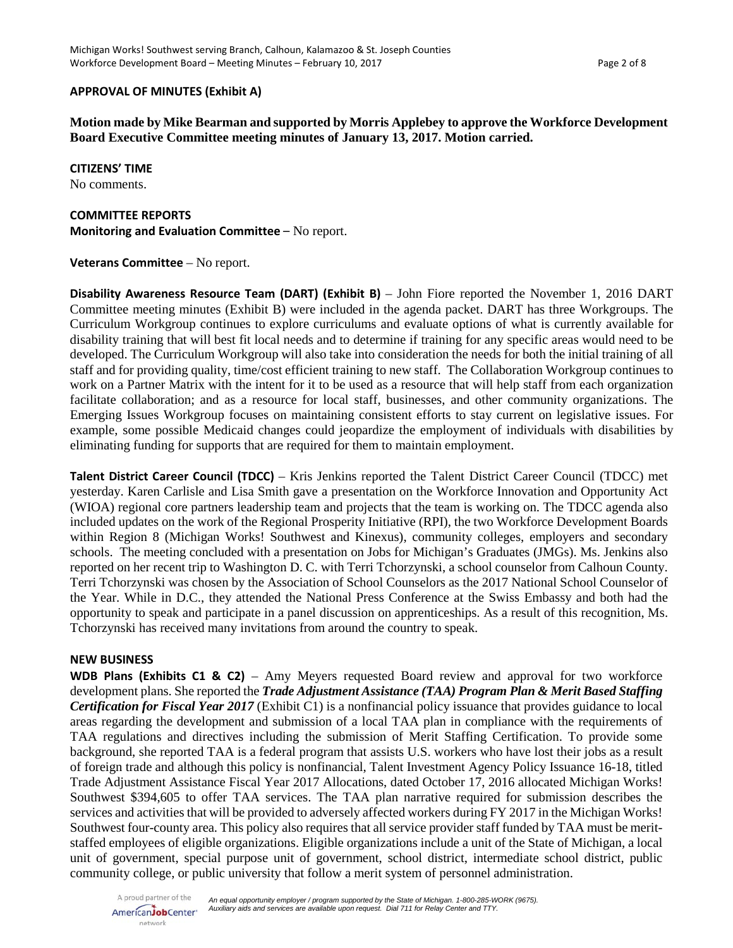### **APPROVAL OF MINUTES (Exhibit A)**

**Motion made by Mike Bearman and supported by Morris Applebey to approve the Workforce Development Board Executive Committee meeting minutes of January 13, 2017. Motion carried.** 

**CITIZENS' TIME**

No comments.

#### **COMMITTEE REPORTS**

**Monitoring and Evaluation Committee** – No report.

### **Veterans Committee** – No report.

**Disability Awareness Resource Team (DART) (Exhibit B)** – John Fiore reported the November 1, 2016 DART Committee meeting minutes (Exhibit B) were included in the agenda packet. DART has three Workgroups. The Curriculum Workgroup continues to explore curriculums and evaluate options of what is currently available for disability training that will best fit local needs and to determine if training for any specific areas would need to be developed. The Curriculum Workgroup will also take into consideration the needs for both the initial training of all staff and for providing quality, time/cost efficient training to new staff. The Collaboration Workgroup continues to work on a Partner Matrix with the intent for it to be used as a resource that will help staff from each organization facilitate collaboration; and as a resource for local staff, businesses, and other community organizations. The Emerging Issues Workgroup focuses on maintaining consistent efforts to stay current on legislative issues. For example, some possible Medicaid changes could jeopardize the employment of individuals with disabilities by eliminating funding for supports that are required for them to maintain employment.

**Talent District Career Council (TDCC)** – Kris Jenkins reported the Talent District Career Council (TDCC) met yesterday. Karen Carlisle and Lisa Smith gave a presentation on the Workforce Innovation and Opportunity Act (WIOA) regional core partners leadership team and projects that the team is working on. The TDCC agenda also included updates on the work of the Regional Prosperity Initiative (RPI), the two Workforce Development Boards within Region 8 (Michigan Works! Southwest and Kinexus), community colleges, employers and secondary schools. The meeting concluded with a presentation on Jobs for Michigan's Graduates (JMGs). Ms. Jenkins also reported on her recent trip to Washington D. C. with Terri Tchorzynski, a school counselor from Calhoun County. Terri Tchorzynski was chosen by the Association of School Counselors as the 2017 National School Counselor of the Year. While in D.C., they attended the National Press Conference at the Swiss Embassy and both had the opportunity to speak and participate in a panel discussion on apprenticeships. As a result of this recognition, Ms. Tchorzynski has received many invitations from around the country to speak.

#### **NEW BUSINESS**

**WDB Plans (Exhibits C1 & C2)** – Amy Meyers requested Board review and approval for two workforce development plans. She reported the *Trade Adjustment Assistance (TAA) Program Plan & Merit Based Staffing Certification for Fiscal Year 2017* (Exhibit C1) is a nonfinancial policy issuance that provides guidance to local areas regarding the development and submission of a local TAA plan in compliance with the requirements of TAA regulations and directives including the submission of Merit Staffing Certification. To provide some background, she reported TAA is a federal program that assists U.S. workers who have lost their jobs as a result of foreign trade and although this policy is nonfinancial, Talent Investment Agency Policy Issuance 16-18, titled Trade Adjustment Assistance Fiscal Year 2017 Allocations, dated October 17, 2016 allocated Michigan Works! Southwest \$394,605 to offer TAA services. The TAA plan narrative required for submission describes the services and activities that will be provided to adversely affected workers during FY 2017 in the Michigan Works! Southwest four-county area. This policy also requires that all service provider staff funded by TAA must be meritstaffed employees of eligible organizations. Eligible organizations include a unit of the State of Michigan, a local unit of government, special purpose unit of government, school district, intermediate school district, public community college, or public university that follow a merit system of personnel administration.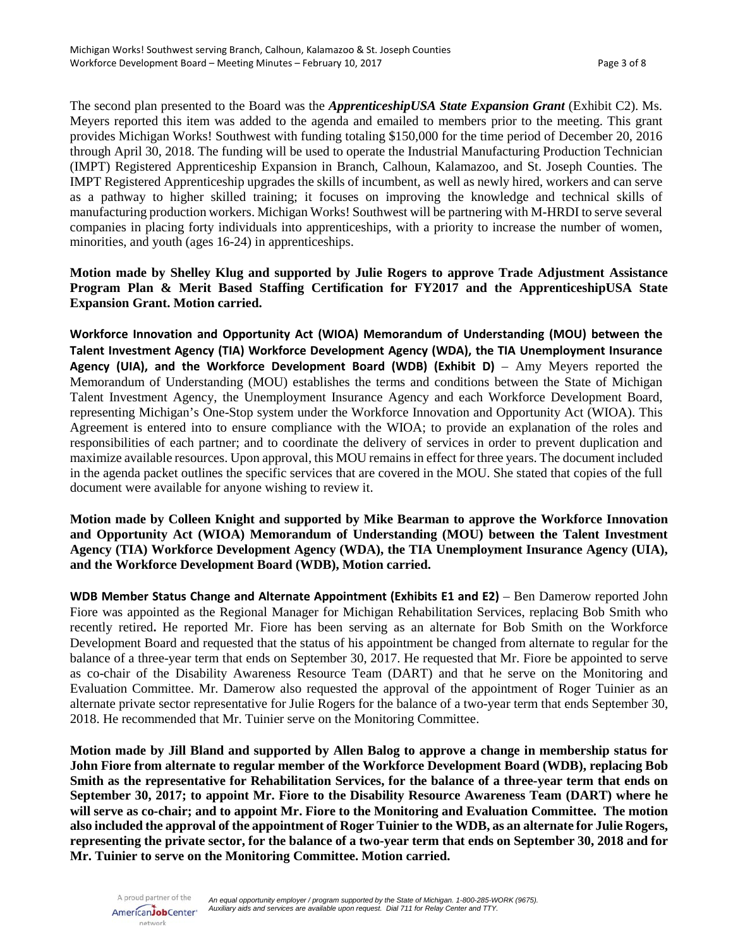The second plan presented to the Board was the *ApprenticeshipUSA State Expansion Grant* (Exhibit C2). Ms. Meyers reported this item was added to the agenda and emailed to members prior to the meeting. This grant provides Michigan Works! Southwest with funding totaling \$150,000 for the time period of December 20, 2016 through April 30, 2018. The funding will be used to operate the Industrial Manufacturing Production Technician (IMPT) Registered Apprenticeship Expansion in Branch, Calhoun, Kalamazoo, and St. Joseph Counties. The IMPT Registered Apprenticeship upgrades the skills of incumbent, as well as newly hired, workers and can serve as a pathway to higher skilled training; it focuses on improving the knowledge and technical skills of manufacturing production workers. Michigan Works! Southwest will be partnering with M-HRDI to serve several companies in placing forty individuals into apprenticeships, with a priority to increase the number of women, minorities, and youth (ages 16-24) in apprenticeships.

# **Motion made by Shelley Klug and supported by Julie Rogers to approve Trade Adjustment Assistance Program Plan & Merit Based Staffing Certification for FY2017 and the ApprenticeshipUSA State Expansion Grant. Motion carried.**

**Workforce Innovation and Opportunity Act (WIOA) Memorandum of Understanding (MOU) between the Talent Investment Agency (TIA) Workforce Development Agency (WDA), the TIA Unemployment Insurance Agency (UIA), and the Workforce Development Board (WDB) (Exhibit D)** – Amy Meyers reported the Memorandum of Understanding (MOU) establishes the terms and conditions between the State of Michigan Talent Investment Agency, the Unemployment Insurance Agency and each Workforce Development Board, representing Michigan's One-Stop system under the Workforce Innovation and Opportunity Act (WIOA). This Agreement is entered into to ensure compliance with the WIOA; to provide an explanation of the roles and responsibilities of each partner; and to coordinate the delivery of services in order to prevent duplication and maximize available resources. Upon approval, this MOU remains in effect for three years. The document included in the agenda packet outlines the specific services that are covered in the MOU. She stated that copies of the full document were available for anyone wishing to review it.

**Motion made by Colleen Knight and supported by Mike Bearman to approve the Workforce Innovation and Opportunity Act (WIOA) Memorandum of Understanding (MOU) between the Talent Investment Agency (TIA) Workforce Development Agency (WDA), the TIA Unemployment Insurance Agency (UIA), and the Workforce Development Board (WDB), Motion carried.**

**WDB Member Status Change and Alternate Appointment (Exhibits E1 and E2)** – Ben Damerow reported John Fiore was appointed as the Regional Manager for Michigan Rehabilitation Services, replacing Bob Smith who recently retired**.** He reported Mr. Fiore has been serving as an alternate for Bob Smith on the Workforce Development Board and requested that the status of his appointment be changed from alternate to regular for the balance of a three-year term that ends on September 30, 2017. He requested that Mr. Fiore be appointed to serve as co-chair of the Disability Awareness Resource Team (DART) and that he serve on the Monitoring and Evaluation Committee. Mr. Damerow also requested the approval of the appointment of Roger Tuinier as an alternate private sector representative for Julie Rogers for the balance of a two-year term that ends September 30, 2018. He recommended that Mr. Tuinier serve on the Monitoring Committee.

**Motion made by Jill Bland and supported by Allen Balog to approve a change in membership status for John Fiore from alternate to regular member of the Workforce Development Board (WDB), replacing Bob Smith as the representative for Rehabilitation Services, for the balance of a three-year term that ends on September 30, 2017; to appoint Mr. Fiore to the Disability Resource Awareness Team (DART) where he will serve as co-chair; and to appoint Mr. Fiore to the Monitoring and Evaluation Committee. The motion also included the approval of the appointment of Roger Tuinier to the WDB, as an alternate for Julie Rogers, representing the private sector, for the balance of a two-year term that ends on September 30, 2018 and for Mr. Tuinier to serve on the Monitoring Committee. Motion carried.**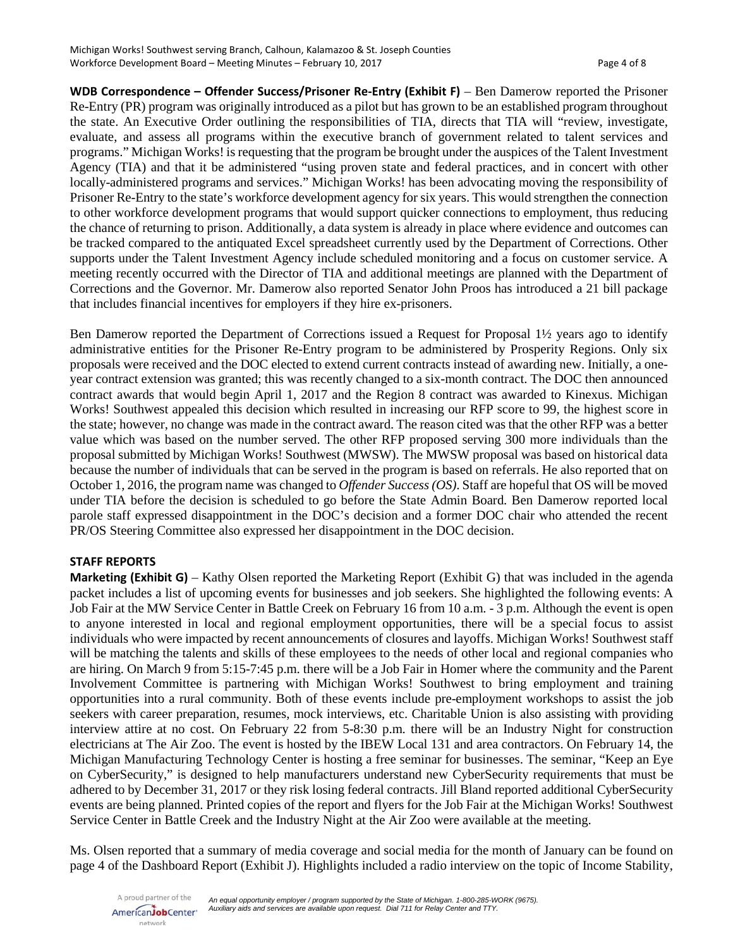**WDB Correspondence – Offender Success/Prisoner Re-Entry (Exhibit F)** – Ben Damerow reported the Prisoner Re-Entry (PR) program was originally introduced as a pilot but has grown to be an established program throughout the state. An Executive Order outlining the responsibilities of TIA, directs that TIA will "review, investigate, evaluate, and assess all programs within the executive branch of government related to talent services and programs." Michigan Works! is requesting that the program be brought under the auspices of the Talent Investment Agency (TIA) and that it be administered "using proven state and federal practices, and in concert with other locally-administered programs and services." Michigan Works! has been advocating moving the responsibility of Prisoner Re-Entry to the state's workforce development agency for six years. This would strengthen the connection to other workforce development programs that would support quicker connections to employment, thus reducing the chance of returning to prison. Additionally, a data system is already in place where evidence and outcomes can be tracked compared to the antiquated Excel spreadsheet currently used by the Department of Corrections. Other supports under the Talent Investment Agency include scheduled monitoring and a focus on customer service. A meeting recently occurred with the Director of TIA and additional meetings are planned with the Department of Corrections and the Governor. Mr. Damerow also reported Senator John Proos has introduced a 21 bill package that includes financial incentives for employers if they hire ex-prisoners.

Ben Damerow reported the Department of Corrections issued a Request for Proposal 1½ years ago to identify administrative entities for the Prisoner Re-Entry program to be administered by Prosperity Regions. Only six proposals were received and the DOC elected to extend current contracts instead of awarding new. Initially, a oneyear contract extension was granted; this was recently changed to a six-month contract. The DOC then announced contract awards that would begin April 1, 2017 and the Region 8 contract was awarded to Kinexus. Michigan Works! Southwest appealed this decision which resulted in increasing our RFP score to 99, the highest score in the state; however, no change was made in the contract award. The reason cited was that the other RFP was a better value which was based on the number served. The other RFP proposed serving 300 more individuals than the proposal submitted by Michigan Works! Southwest (MWSW). The MWSW proposal was based on historical data because the number of individuals that can be served in the program is based on referrals. He also reported that on October 1, 2016, the program name was changed to *Offender Success (OS)*. Staff are hopeful that OS will be moved under TIA before the decision is scheduled to go before the State Admin Board. Ben Damerow reported local parole staff expressed disappointment in the DOC's decision and a former DOC chair who attended the recent PR/OS Steering Committee also expressed her disappointment in the DOC decision.

# **STAFF REPORTS**

**Marketing (Exhibit G)** – Kathy Olsen reported the Marketing Report (Exhibit G) that was included in the agenda packet includes a list of upcoming events for businesses and job seekers. She highlighted the following events: A Job Fair at the MW Service Center in Battle Creek on February 16 from 10 a.m. - 3 p.m. Although the event is open to anyone interested in local and regional employment opportunities, there will be a special focus to assist individuals who were impacted by recent announcements of closures and layoffs. Michigan Works! Southwest staff will be matching the talents and skills of these employees to the needs of other local and regional companies who are hiring. On March 9 from 5:15-7:45 p.m. there will be a Job Fair in Homer where the community and the Parent Involvement Committee is partnering with Michigan Works! Southwest to bring employment and training opportunities into a rural community. Both of these events include pre-employment workshops to assist the job seekers with career preparation, resumes, mock interviews, etc. Charitable Union is also assisting with providing interview attire at no cost. On February 22 from 5-8:30 p.m. there will be an Industry Night for construction electricians at The Air Zoo. The event is hosted by the IBEW Local 131 and area contractors. On February 14, the Michigan Manufacturing Technology Center is hosting a free seminar for businesses. The seminar, "Keep an Eye on CyberSecurity," is designed to help manufacturers understand new CyberSecurity requirements that must be adhered to by December 31, 2017 or they risk losing federal contracts. Jill Bland reported additional CyberSecurity events are being planned. Printed copies of the report and flyers for the Job Fair at the Michigan Works! Southwest Service Center in Battle Creek and the Industry Night at the Air Zoo were available at the meeting.

Ms. Olsen reported that a summary of media coverage and social media for the month of January can be found on page 4 of the Dashboard Report (Exhibit J). Highlights included a radio interview on the topic of Income Stability,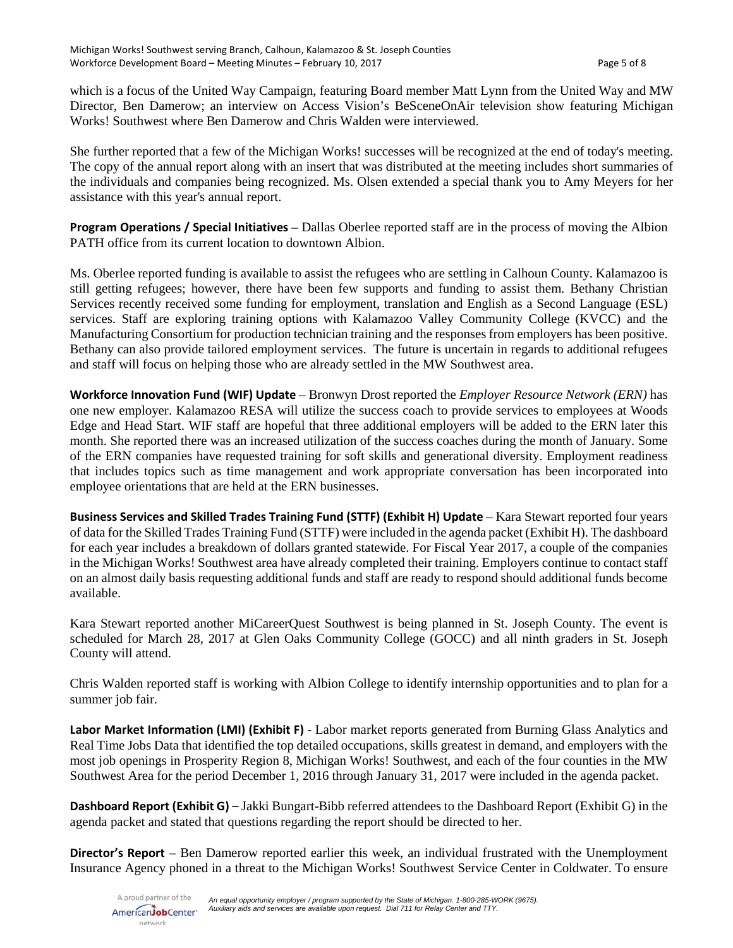which is a focus of the United Way Campaign, featuring Board member Matt Lynn from the United Way and MW Director, Ben Damerow; an interview on Access Vision's BeSceneOnAir television show featuring Michigan Works! Southwest where Ben Damerow and Chris Walden were interviewed.

She further reported that a few of the Michigan Works! successes will be recognized at the end of today's meeting. The copy of the annual report along with an insert that was distributed at the meeting includes short summaries of the individuals and companies being recognized. Ms. Olsen extended a special thank you to Amy Meyers for her assistance with this year's annual report.

**Program Operations / Special Initiatives** – Dallas Oberlee reported staff are in the process of moving the Albion PATH office from its current location to downtown Albion.

Ms. Oberlee reported funding is available to assist the refugees who are settling in Calhoun County. Kalamazoo is still getting refugees; however, there have been few supports and funding to assist them. Bethany Christian Services recently received some funding for employment, translation and English as a Second Language (ESL) services. Staff are exploring training options with Kalamazoo Valley Community College (KVCC) and the Manufacturing Consortium for production technician training and the responses from employers has been positive. Bethany can also provide tailored employment services. The future is uncertain in regards to additional refugees and staff will focus on helping those who are already settled in the MW Southwest area.

**Workforce Innovation Fund (WIF) Update** – Bronwyn Drost reported the *Employer Resource Network (ERN)* has one new employer. Kalamazoo RESA will utilize the success coach to provide services to employees at Woods Edge and Head Start. WIF staff are hopeful that three additional employers will be added to the ERN later this month. She reported there was an increased utilization of the success coaches during the month of January. Some of the ERN companies have requested training for soft skills and generational diversity. Employment readiness that includes topics such as time management and work appropriate conversation has been incorporated into employee orientations that are held at the ERN businesses.

**Business Services and Skilled Trades Training Fund (STTF) (Exhibit H) Update** – Kara Stewart reported four years of data for the Skilled Trades Training Fund (STTF) were included in the agenda packet (Exhibit H). The dashboard for each year includes a breakdown of dollars granted statewide. For Fiscal Year 2017, a couple of the companies in the Michigan Works! Southwest area have already completed their training. Employers continue to contact staff on an almost daily basis requesting additional funds and staff are ready to respond should additional funds become available.

Kara Stewart reported another MiCareerQuest Southwest is being planned in St. Joseph County. The event is scheduled for March 28, 2017 at Glen Oaks Community College (GOCC) and all ninth graders in St. Joseph County will attend.

Chris Walden reported staff is working with Albion College to identify internship opportunities and to plan for a summer job fair.

**Labor Market Information (LMI) (Exhibit F)** - Labor market reports generated from Burning Glass Analytics and Real Time Jobs Data that identified the top detailed occupations, skills greatest in demand, and employers with the most job openings in Prosperity Region 8, Michigan Works! Southwest, and each of the four counties in the MW Southwest Area for the period December 1, 2016 through January 31, 2017 were included in the agenda packet.

**Dashboard Report (Exhibit G)** – Jakki Bungart-Bibb referred attendees to the Dashboard Report (Exhibit G) in the agenda packet and stated that questions regarding the report should be directed to her.

**Director's Report** – Ben Damerow reported earlier this week, an individual frustrated with the Unemployment Insurance Agency phoned in a threat to the Michigan Works! Southwest Service Center in Coldwater. To ensure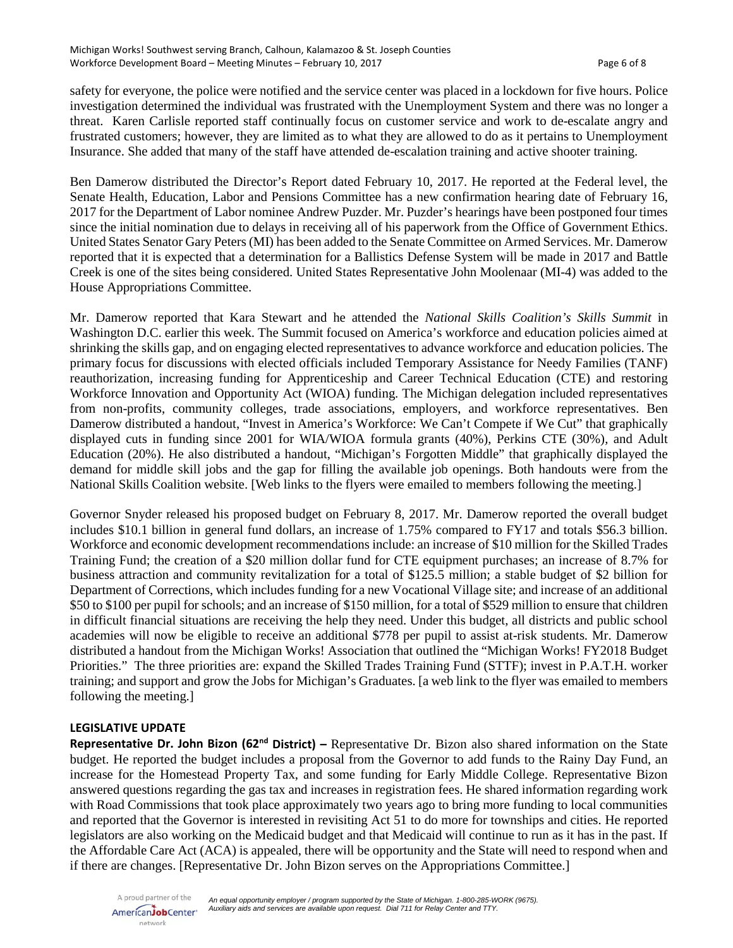safety for everyone, the police were notified and the service center was placed in a lockdown for five hours. Police investigation determined the individual was frustrated with the Unemployment System and there was no longer a threat. Karen Carlisle reported staff continually focus on customer service and work to de-escalate angry and frustrated customers; however, they are limited as to what they are allowed to do as it pertains to Unemployment Insurance. She added that many of the staff have attended de-escalation training and active shooter training.

Ben Damerow distributed the Director's Report dated February 10, 2017. He reported at the Federal level, the Senate Health, Education, Labor and Pensions Committee has a new confirmation hearing date of February 16, 2017 for the Department of Labor nominee Andrew Puzder. Mr. Puzder's hearings have been postponed four times since the initial nomination due to delays in receiving all of his paperwork from the Office of Government Ethics. United States Senator Gary Peters (MI) has been added to the Senate Committee on Armed Services. Mr. Damerow reported that it is expected that a determination for a Ballistics Defense System will be made in 2017 and Battle Creek is one of the sites being considered. United States Representative John Moolenaar (MI-4) was added to the House Appropriations Committee.

Mr. Damerow reported that Kara Stewart and he attended the *National Skills Coalition's Skills Summit* in Washington D.C. earlier this week. The Summit focused on America's workforce and education policies aimed at shrinking the skills gap, and on engaging elected representatives to advance workforce and education policies. The primary focus for discussions with elected officials included Temporary Assistance for Needy Families (TANF) reauthorization, increasing funding for Apprenticeship and Career Technical Education (CTE) and restoring Workforce Innovation and Opportunity Act (WIOA) funding. The Michigan delegation included representatives from non-profits, community colleges, trade associations, employers, and workforce representatives. Ben Damerow distributed a handout, "Invest in America's Workforce: We Can't Compete if We Cut" that graphically displayed cuts in funding since 2001 for WIA/WIOA formula grants (40%), Perkins CTE (30%), and Adult Education (20%). He also distributed a handout, "Michigan's Forgotten Middle" that graphically displayed the demand for middle skill jobs and the gap for filling the available job openings. Both handouts were from the National Skills Coalition website. [Web links to the flyers were emailed to members following the meeting.]

Governor Snyder released his proposed budget on February 8, 2017. Mr. Damerow reported the overall budget includes \$10.1 billion in general fund dollars, an increase of 1.75% compared to FY17 and totals \$56.3 billion. Workforce and economic development recommendations include: an increase of \$10 million for the Skilled Trades Training Fund; the creation of a \$20 million dollar fund for CTE equipment purchases; an increase of 8.7% for business attraction and community revitalization for a total of \$125.5 million; a stable budget of \$2 billion for Department of Corrections, which includes funding for a new Vocational Village site; and increase of an additional \$50 to \$100 per pupil for schools; and an increase of \$150 million, for a total of \$529 million to ensure that children in difficult financial situations are receiving the help they need. Under this budget, all districts and public school academies will now be eligible to receive an additional \$778 per pupil to assist at-risk students. Mr. Damerow distributed a handout from the Michigan Works! Association that outlined the "Michigan Works! FY2018 Budget Priorities." The three priorities are: expand the Skilled Trades Training Fund (STTF); invest in P.A.T.H. worker training; and support and grow the Jobs for Michigan's Graduates. [a web link to the flyer was emailed to members following the meeting.]

# **LEGISLATIVE UPDATE**

**Representative Dr. John Bizon (62nd District) –** Representative Dr. Bizon also shared information on the State budget. He reported the budget includes a proposal from the Governor to add funds to the Rainy Day Fund, an increase for the Homestead Property Tax, and some funding for Early Middle College. Representative Bizon answered questions regarding the gas tax and increases in registration fees. He shared information regarding work with Road Commissions that took place approximately two years ago to bring more funding to local communities and reported that the Governor is interested in revisiting Act 51 to do more for townships and cities. He reported legislators are also working on the Medicaid budget and that Medicaid will continue to run as it has in the past. If the Affordable Care Act (ACA) is appealed, there will be opportunity and the State will need to respond when and if there are changes. [Representative Dr. John Bizon serves on the Appropriations Committee.]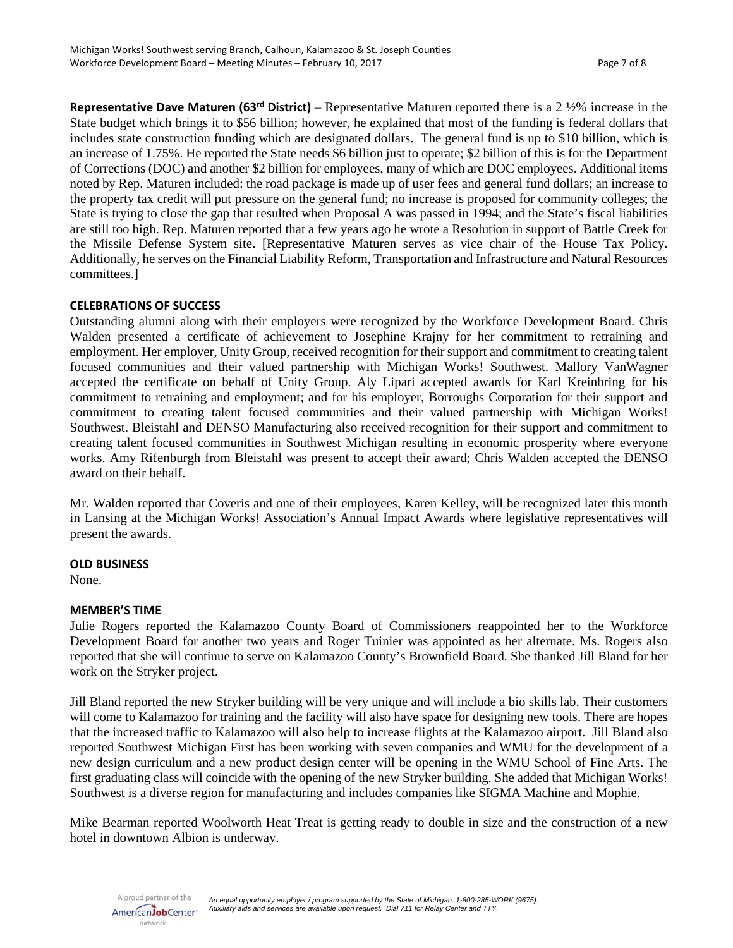**Representative Dave Maturen (63rd District)** – Representative Maturen reported there is a 2 ½% increase in the State budget which brings it to \$56 billion; however, he explained that most of the funding is federal dollars that includes state construction funding which are designated dollars. The general fund is up to \$10 billion, which is an increase of 1.75%. He reported the State needs \$6 billion just to operate; \$2 billion of this is for the Department of Corrections (DOC) and another \$2 billion for employees, many of which are DOC employees. Additional items noted by Rep. Maturen included: the road package is made up of user fees and general fund dollars; an increase to the property tax credit will put pressure on the general fund; no increase is proposed for community colleges; the State is trying to close the gap that resulted when Proposal A was passed in 1994; and the State's fiscal liabilities are still too high. Rep. Maturen reported that a few years ago he wrote a Resolution in support of Battle Creek for the Missile Defense System site. [Representative Maturen serves as vice chair of the House Tax Policy. Additionally, he serves on the Financial Liability Reform, Transportation and Infrastructure and Natural Resources committees.]

### **CELEBRATIONS OF SUCCESS**

Outstanding alumni along with their employers were recognized by the Workforce Development Board. Chris Walden presented a certificate of achievement to Josephine Krajny for her commitment to retraining and employment. Her employer, Unity Group, received recognition for their support and commitment to creating talent focused communities and their valued partnership with Michigan Works! Southwest. Mallory VanWagner accepted the certificate on behalf of Unity Group. Aly Lipari accepted awards for Karl Kreinbring for his commitment to retraining and employment; and for his employer, Borroughs Corporation for their support and commitment to creating talent focused communities and their valued partnership with Michigan Works! Southwest. Bleistahl and DENSO Manufacturing also received recognition for their support and commitment to creating talent focused communities in Southwest Michigan resulting in economic prosperity where everyone works. Amy Rifenburgh from Bleistahl was present to accept their award; Chris Walden accepted the DENSO award on their behalf.

Mr. Walden reported that Coveris and one of their employees, Karen Kelley, will be recognized later this month in Lansing at the Michigan Works! Association's Annual Impact Awards where legislative representatives will present the awards.

#### **OLD BUSINESS**

None.

# **MEMBER'S TIME**

Julie Rogers reported the Kalamazoo County Board of Commissioners reappointed her to the Workforce Development Board for another two years and Roger Tuinier was appointed as her alternate. Ms. Rogers also reported that she will continue to serve on Kalamazoo County's Brownfield Board. She thanked Jill Bland for her work on the Stryker project.

Jill Bland reported the new Stryker building will be very unique and will include a bio skills lab. Their customers will come to Kalamazoo for training and the facility will also have space for designing new tools. There are hopes that the increased traffic to Kalamazoo will also help to increase flights at the Kalamazoo airport. Jill Bland also reported Southwest Michigan First has been working with seven companies and WMU for the development of a new design curriculum and a new product design center will be opening in the WMU School of Fine Arts. The first graduating class will coincide with the opening of the new Stryker building. She added that Michigan Works! Southwest is a diverse region for manufacturing and includes companies like SIGMA Machine and Mophie.

Mike Bearman reported Woolworth Heat Treat is getting ready to double in size and the construction of a new hotel in downtown Albion is underway.

A proud partner of the AmericanJobCenter\* network

*An equal opportunity employer / program supported by the State of Michigan. 1-800-285-WORK (9675). Auxiliary aids and services are available upon request. Dial 711 for Relay Center and TTY.*